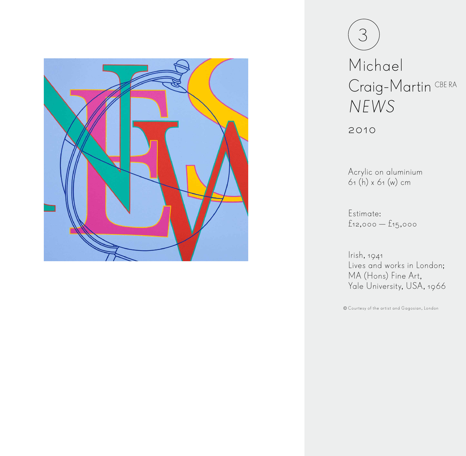

| Michael            |  |
|--------------------|--|
| Craig-Martin CBERA |  |
| NEWS               |  |

2010

Acrylic on aluminium 61 (h) x 61 (w) cm

Estimate: £12,000 — £15,000

Irish, 1941 Lives and works in London; MA (Hons) Fine Art, Yale University, USA, 1966

Courtesy of the artist and Gagosian, London